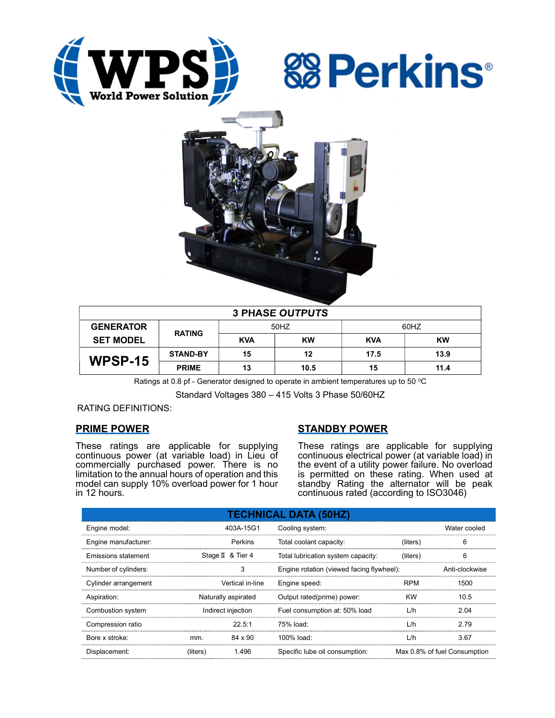





| <b>3 PHASE OUTPUTS</b> |                 |            |           |            |           |  |  |
|------------------------|-----------------|------------|-----------|------------|-----------|--|--|
| <b>GENERATOR</b>       | <b>RATING</b>   | 50HZ       |           | 60HZ       |           |  |  |
| <b>SET MODEL</b>       |                 | <b>KVA</b> | <b>KW</b> | <b>KVA</b> | <b>KW</b> |  |  |
| WPSP-15                | <b>STAND-BY</b> | 15         | 12        | 17.5       | 13.9      |  |  |
|                        | <b>PRIME</b>    | 13         | 10.5      | 15         | 11.4      |  |  |

Ratings at 0.8 pf - Generator designed to operate in ambient temperatures up to 50  $^{\circ}$ C

Standard Voltages 380 – 415 Volts 3 Phase 50/60HZ

RATING DEFINITIONS:

## PRIME POWER

These ratings are applicable for supplying continuous power (at variable load) in Lieu of commercially purchased power. There is no limitation to the annual hours of operation and this model can supply 10% overload power for 1 hour in 12 hours.

# STANDBY POWER

These ratings are applicable for supplying continuous electrical power (at variable load) in the event of a utility power failure. No overload is permitted on these rating. When used at standby Rating the alternator will be peak continuous rated (according to ISO3046)

| <b>TECHNICAL DATA (50HZ)</b> |                     |                   |                                           |            |                              |  |  |
|------------------------------|---------------------|-------------------|-------------------------------------------|------------|------------------------------|--|--|
| Engine model:                |                     | 403A-15G1         | Cooling system:                           |            | Water cooled                 |  |  |
| Engine manufacturer:         |                     | Perkins           | Total coolant capacity:                   | (liters)   | 6                            |  |  |
| Emissions statement          |                     | Stage II & Tier 4 | Total lubrication system capacity:        | (liters)   | 6                            |  |  |
| Number of cylinders:         | 3                   |                   | Engine rotation (viewed facing flywheel): |            | Anti-clockwise               |  |  |
| Cylinder arrangement         |                     | Vertical in-line  | Engine speed:                             | <b>RPM</b> | 1500                         |  |  |
| Aspiration:                  | Naturally aspirated |                   | Output rated(prime) power:                | <b>KW</b>  | 10.5                         |  |  |
| Combustion system            | Indirect injection  |                   | Fuel consumption at: 50% load             | L/h        | 2.04                         |  |  |
| Compression ratio            |                     | 22.5:1            | 75% load:                                 | L/h        | 2.79                         |  |  |
| Bore x stroke:               | mm.                 | 84 x 90           | 100% load:                                | L/h        | 3.67                         |  |  |
| Displacement:                | (liters)            | 1.496             | Specific lube oil consumption:            |            | Max 0.8% of fuel Consumption |  |  |